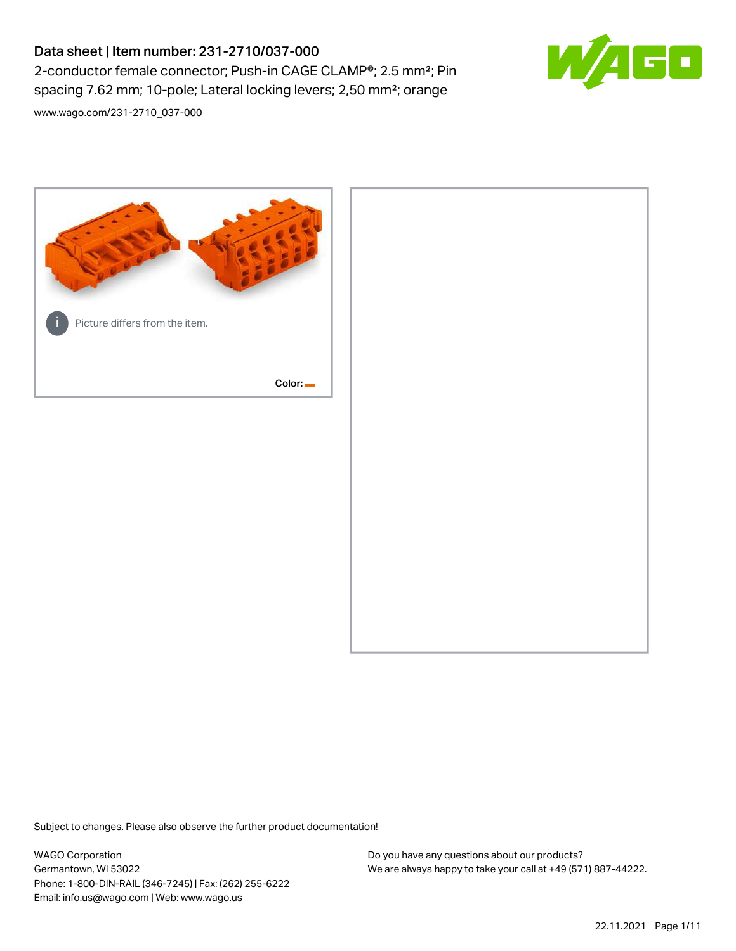# Data sheet | Item number: 231-2710/037-000 2-conductor female connector; Push-in CAGE CLAMP®; 2.5 mm²; Pin spacing 7.62 mm; 10-pole; Lateral locking levers; 2,50 mm²; orange

[www.wago.com/231-2710\\_037-000](http://www.wago.com/231-2710_037-000)



Subject to changes. Please also observe the further product documentation!

WAGO Corporation Germantown, WI 53022 Phone: 1-800-DIN-RAIL (346-7245) | Fax: (262) 255-6222 Email: info.us@wago.com | Web: www.wago.us

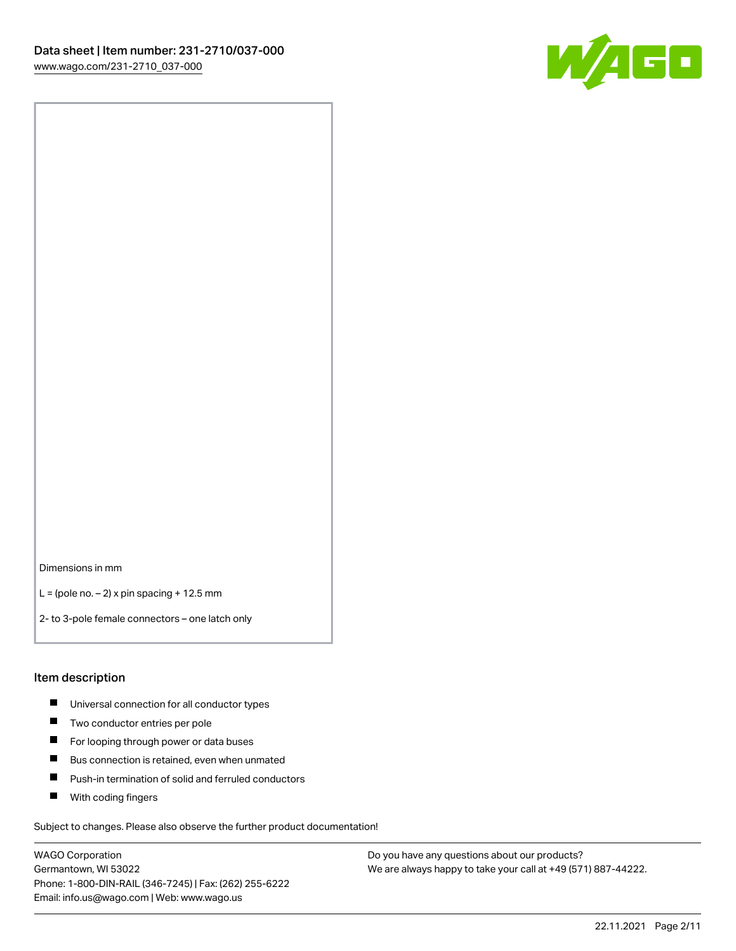

Dimensions in mm

 $L =$  (pole no.  $-2$ ) x pin spacing + 12.5 mm

2- to 3-pole female connectors – one latch only

#### Item description

- **Universal connection for all conductor types**
- **Two conductor entries per pole**
- $\blacksquare$ For looping through power or data buses
- $\blacksquare$ Bus connection is retained, even when unmated
- $\blacksquare$ Push-in termination of solid and ferruled conductors
- $\blacksquare$ With coding fingers

Subject to changes. Please also observe the further product documentation!

WAGO Corporation Germantown, WI 53022 Phone: 1-800-DIN-RAIL (346-7245) | Fax: (262) 255-6222 Email: info.us@wago.com | Web: www.wago.us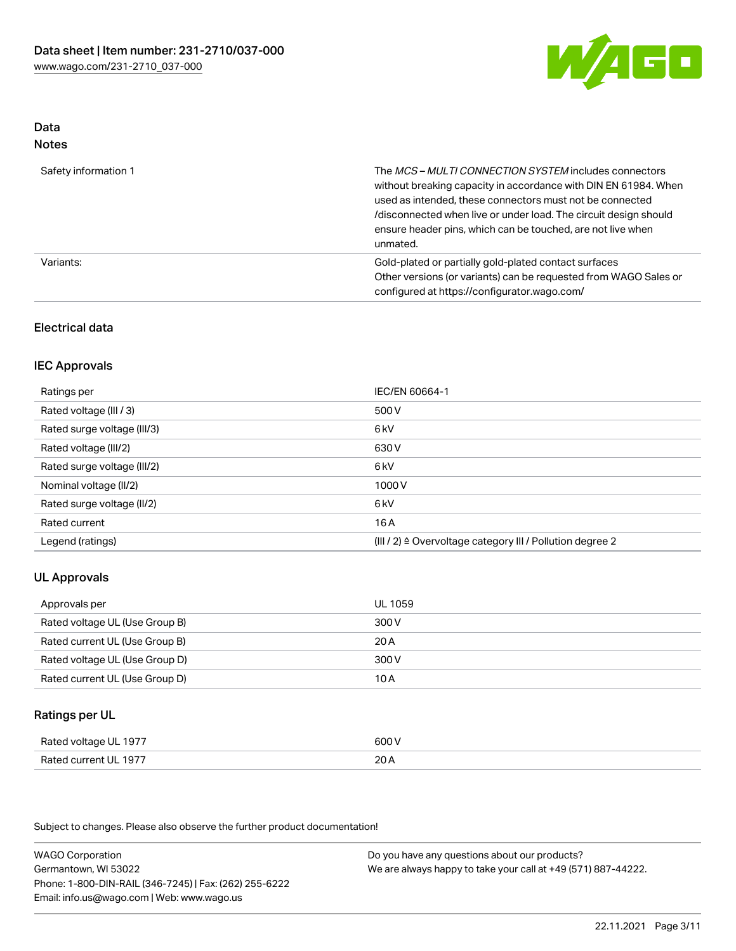

#### Data Notes

| .                    |                                                                                                                                                                                                                                                                                                                                   |
|----------------------|-----------------------------------------------------------------------------------------------------------------------------------------------------------------------------------------------------------------------------------------------------------------------------------------------------------------------------------|
| Safety information 1 | The MCS-MULTI CONNECTION SYSTEM includes connectors<br>without breaking capacity in accordance with DIN EN 61984. When<br>used as intended, these connectors must not be connected<br>/disconnected when live or under load. The circuit design should<br>ensure header pins, which can be touched, are not live when<br>unmated. |
| Variants:            | Gold-plated or partially gold-plated contact surfaces<br>Other versions (or variants) can be requested from WAGO Sales or<br>configured at https://configurator.wago.com/                                                                                                                                                         |

## Electrical data

## IEC Approvals

| Ratings per                 | IEC/EN 60664-1                                                        |
|-----------------------------|-----------------------------------------------------------------------|
| Rated voltage (III / 3)     | 500 V                                                                 |
| Rated surge voltage (III/3) | 6 <sub>k</sub> V                                                      |
| Rated voltage (III/2)       | 630 V                                                                 |
| Rated surge voltage (III/2) | 6 <sub>k</sub> V                                                      |
| Nominal voltage (II/2)      | 1000 V                                                                |
| Rated surge voltage (II/2)  | 6 kV                                                                  |
| Rated current               | 16 A                                                                  |
| Legend (ratings)            | $(III / 2)$ $\triangle$ Overvoltage category III / Pollution degree 2 |

## UL Approvals

| Approvals per                  | UL 1059 |
|--------------------------------|---------|
| Rated voltage UL (Use Group B) | 300 V   |
| Rated current UL (Use Group B) | 20 A    |
| Rated voltage UL (Use Group D) | 300 V   |
| Rated current UL (Use Group D) | 10 A    |

### Ratings per UL

| Rated voltage UL 1977 | 600 V |
|-----------------------|-------|
| Rated current UL 1977 | 20A   |

Subject to changes. Please also observe the further product documentation!

WAGO Corporation Germantown, WI 53022 Phone: 1-800-DIN-RAIL (346-7245) | Fax: (262) 255-6222 Email: info.us@wago.com | Web: www.wago.us Do you have any questions about our products? We are always happy to take your call at +49 (571) 887-44222.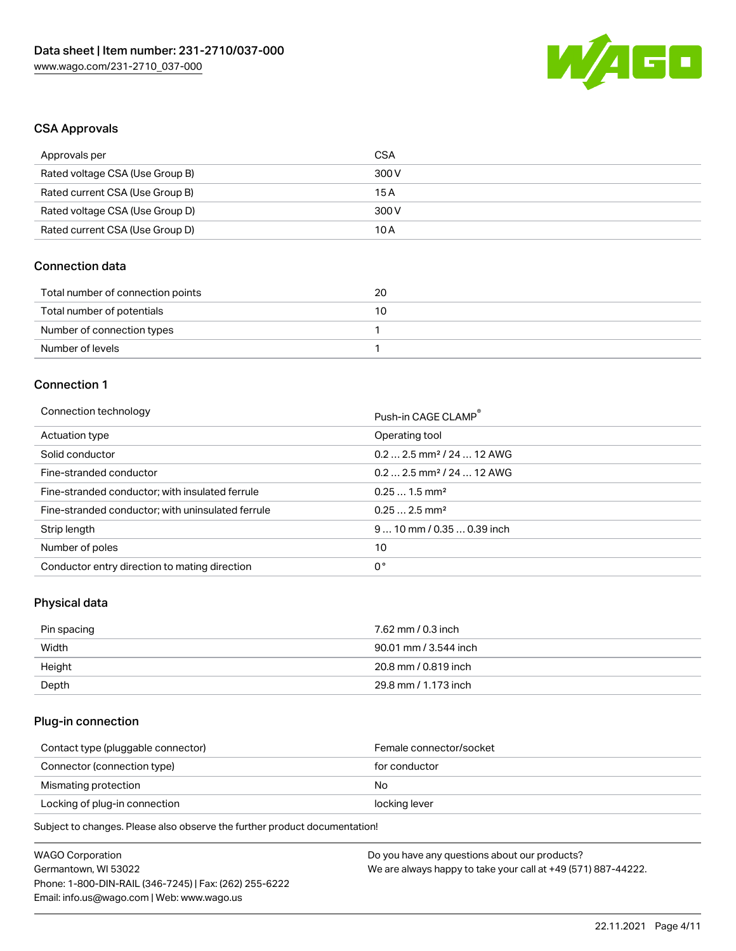

## CSA Approvals

| Approvals per                   | CSA   |
|---------------------------------|-------|
| Rated voltage CSA (Use Group B) | 300 V |
| Rated current CSA (Use Group B) | 15 A  |
| Rated voltage CSA (Use Group D) | 300 V |
| Rated current CSA (Use Group D) | 10 A  |

## Connection data

| Total number of connection points | 20 |
|-----------------------------------|----|
| Total number of potentials        | 10 |
| Number of connection types        |    |
| Number of levels                  |    |

#### Connection 1

#### Connection technology **Push-in CAGE CLAMP<sup>®</sup>**

| ັ                                                 | Push-in CAGE CLAMP                     |
|---------------------------------------------------|----------------------------------------|
| Actuation type                                    | Operating tool                         |
| Solid conductor                                   | $0.22.5$ mm <sup>2</sup> / 24  12 AWG  |
| Fine-stranded conductor                           | $0.2$ 2.5 mm <sup>2</sup> / 24  12 AWG |
| Fine-stranded conductor; with insulated ferrule   | $0.251.5$ mm <sup>2</sup>              |
| Fine-stranded conductor; with uninsulated ferrule | $0.252.5$ mm <sup>2</sup>              |
| Strip length                                      | $910$ mm / 0.35  0.39 inch             |
| Number of poles                                   | 10                                     |
| Conductor entry direction to mating direction     | 0°                                     |

## Physical data

| Pin spacing | 7.62 mm / 0.3 inch    |
|-------------|-----------------------|
| Width       | 90.01 mm / 3.544 inch |
| Height      | 20.8 mm / 0.819 inch  |
| Depth       | 29.8 mm / 1.173 inch  |

## Plug-in connection

| Female connector/socket |
|-------------------------|
| for conductor           |
| No.                     |
| locking lever           |
|                         |

Subject to changes. Please also observe the further product documentation!

| <b>WAGO Corporation</b>                                | Do you have any questions about our products?                 |
|--------------------------------------------------------|---------------------------------------------------------------|
| Germantown, WI 53022                                   | We are always happy to take your call at +49 (571) 887-44222. |
| Phone: 1-800-DIN-RAIL (346-7245)   Fax: (262) 255-6222 |                                                               |
| Email: info.us@wago.com   Web: www.wago.us             |                                                               |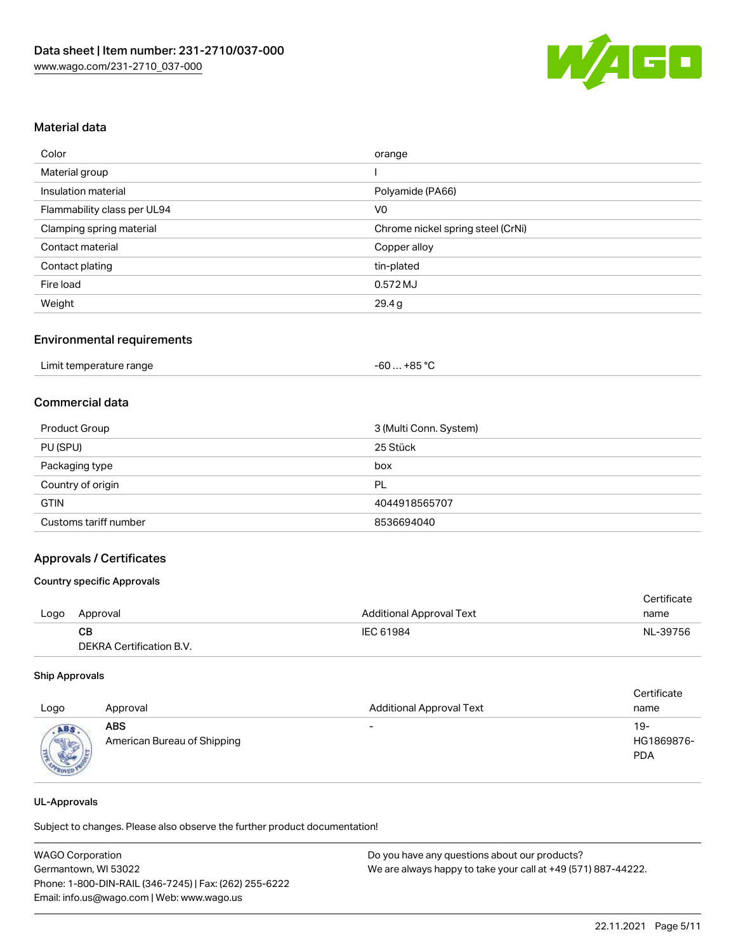

## Material data

| Color                       | orange                            |
|-----------------------------|-----------------------------------|
| Material group              |                                   |
| Insulation material         | Polyamide (PA66)                  |
| Flammability class per UL94 | V <sub>0</sub>                    |
| Clamping spring material    | Chrome nickel spring steel (CrNi) |
| Contact material            | Copper alloy                      |
| Contact plating             | tin-plated                        |
| Fire load                   | 0.572 MJ                          |
| Weight                      | 29.4g                             |

#### Environmental requirements

|  | Limit temperature range | -60 … +85 °Ր |
|--|-------------------------|--------------|
|--|-------------------------|--------------|

## Commercial data

| <b>Product Group</b>  | 3 (Multi Conn. System) |
|-----------------------|------------------------|
| PU (SPU)              | 25 Stück               |
| Packaging type        | box                    |
| Country of origin     | PL                     |
| <b>GTIN</b>           | 4044918565707          |
| Customs tariff number | 8536694040             |

#### Approvals / Certificates

#### Country specific Approvals

|      |                          |                                 | Certificate |
|------|--------------------------|---------------------------------|-------------|
| Logo | Approval                 | <b>Additional Approval Text</b> | name        |
|      | CB.                      | IEC 61984                       | NL-39756    |
|      | DEKRA Certification B.V. |                                 |             |

#### Ship Approvals

| Logo               | Approval                                  | <b>Additional Approval Text</b> | Certificate<br>name             |
|--------------------|-------------------------------------------|---------------------------------|---------------------------------|
| ABS<br><b>SALE</b> | <b>ABS</b><br>American Bureau of Shipping | $\overline{\phantom{0}}$        | 19-<br>HG1869876-<br><b>PDA</b> |

#### UL-Approvals

Subject to changes. Please also observe the further product documentation!

| <b>WAGO Corporation</b>                                | Do you have any questions about our products?                 |
|--------------------------------------------------------|---------------------------------------------------------------|
| Germantown, WI 53022                                   | We are always happy to take your call at +49 (571) 887-44222. |
| Phone: 1-800-DIN-RAIL (346-7245)   Fax: (262) 255-6222 |                                                               |
| Email: info.us@wago.com   Web: www.wago.us             |                                                               |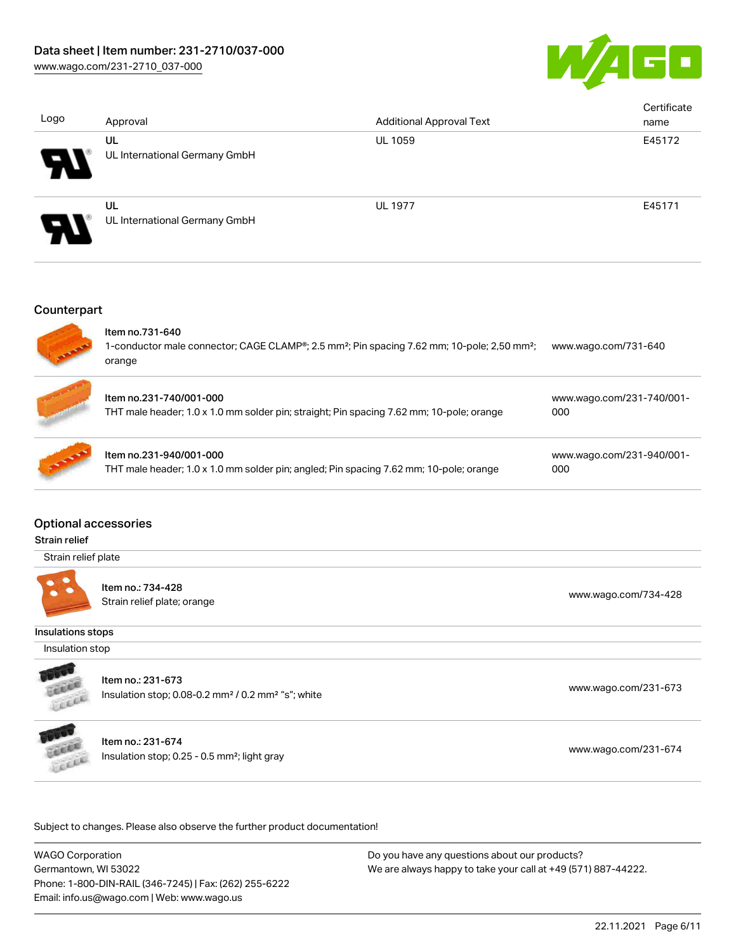

| Logo | Approval                            | <b>Additional Approval Text</b> | Certificate<br>name |
|------|-------------------------------------|---------------------------------|---------------------|
| 9    | UL<br>UL International Germany GmbH | <b>UL 1059</b>                  | E45172              |
| Р    | UL<br>UL International Germany GmbH | <b>UL 1977</b>                  | E45171              |

#### **Counterpart**



## Optional accessories

#### Strain relief

Strain relief plate



Item no.: 734-428 Strain relief plate; orange [www.wago.com/734-428](http://www.wago.com/734-428)

## Insulations stops

Insulation stop



Item no.: 231-673

Insulation stop; 0.08-0.2 mm<sup>2</sup> / 0.2 mm<sup>2</sup> "s"; white [www.wago.com/231-673](http://www.wago.com/231-673) www.wago.com/231-673



Item no.: 231-674

Insulation stop; 0.25 - 0.5 mm<sup>2</sup>; light gray [www.wago.com/231-674](http://www.wago.com/231-674) www.wago.com/231-674

Subject to changes. Please also observe the further product documentation!

WAGO Corporation Germantown, WI 53022 Phone: 1-800-DIN-RAIL (346-7245) | Fax: (262) 255-6222 Email: info.us@wago.com | Web: www.wago.us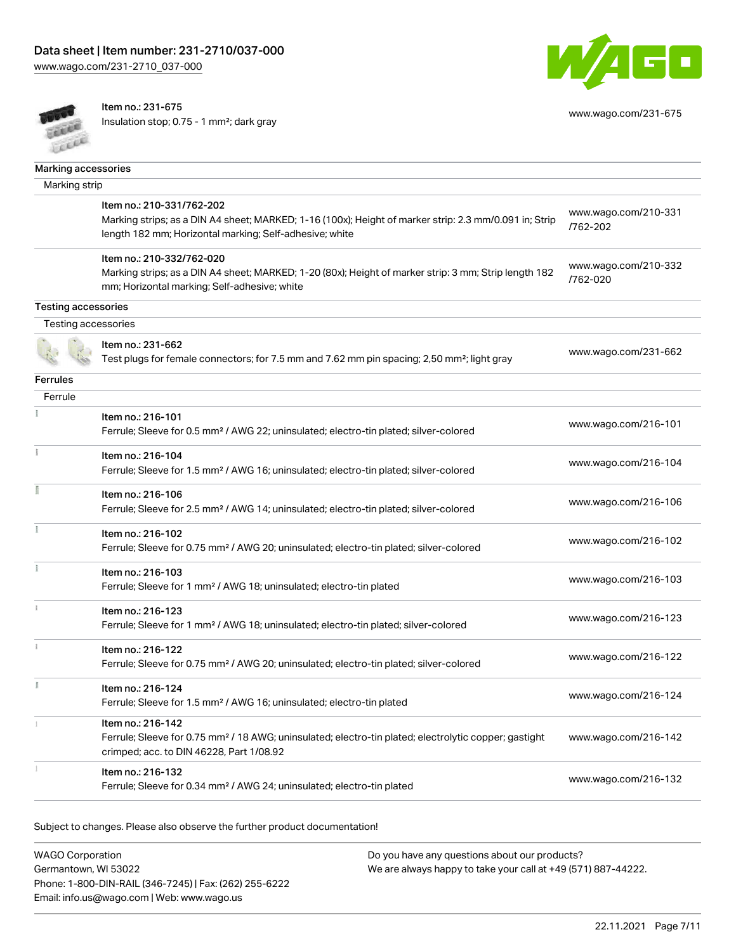[www.wago.com/231-2710\\_037-000](http://www.wago.com/231-2710_037-000)



Item no.: 231-675

Insulation stop; 0.75 - 1 mm²; dark gray



[www.wago.com/231-675](http://www.wago.com/231-675)

| Marking accessories        |                                                                                                                                                                                                |                                  |
|----------------------------|------------------------------------------------------------------------------------------------------------------------------------------------------------------------------------------------|----------------------------------|
| Marking strip              |                                                                                                                                                                                                |                                  |
|                            | Item no.: 210-331/762-202<br>Marking strips; as a DIN A4 sheet; MARKED; 1-16 (100x); Height of marker strip: 2.3 mm/0.091 in; Strip<br>length 182 mm; Horizontal marking; Self-adhesive; white | www.wago.com/210-331<br>/762-202 |
|                            | Item no.: 210-332/762-020<br>Marking strips; as a DIN A4 sheet; MARKED; 1-20 (80x); Height of marker strip: 3 mm; Strip length 182<br>mm; Horizontal marking; Self-adhesive; white             | www.wago.com/210-332<br>/762-020 |
| <b>Testing accessories</b> |                                                                                                                                                                                                |                                  |
| Testing accessories        |                                                                                                                                                                                                |                                  |
|                            | Item no.: 231-662<br>Test plugs for female connectors; for 7.5 mm and 7.62 mm pin spacing; 2,50 mm <sup>2</sup> ; light gray                                                                   | www.wago.com/231-662             |
| <b>Ferrules</b>            |                                                                                                                                                                                                |                                  |
| Ferrule                    |                                                                                                                                                                                                |                                  |
|                            | Item no.: 216-101<br>Ferrule; Sleeve for 0.5 mm <sup>2</sup> / AWG 22; uninsulated; electro-tin plated; silver-colored                                                                         | www.wago.com/216-101             |
|                            | Item no.: 216-104<br>Ferrule; Sleeve for 1.5 mm <sup>2</sup> / AWG 16; uninsulated; electro-tin plated; silver-colored                                                                         | www.wago.com/216-104             |
|                            | Item no.: 216-106<br>Ferrule; Sleeve for 2.5 mm <sup>2</sup> / AWG 14; uninsulated; electro-tin plated; silver-colored                                                                         | www.wago.com/216-106             |
|                            | Item no.: 216-102<br>Ferrule; Sleeve for 0.75 mm <sup>2</sup> / AWG 20; uninsulated; electro-tin plated; silver-colored                                                                        | www.wago.com/216-102             |
|                            | Item no.: 216-103<br>Ferrule; Sleeve for 1 mm <sup>2</sup> / AWG 18; uninsulated; electro-tin plated                                                                                           | www.wago.com/216-103             |
|                            | Item no.: 216-123<br>Ferrule; Sleeve for 1 mm <sup>2</sup> / AWG 18; uninsulated; electro-tin plated; silver-colored                                                                           | www.wago.com/216-123             |
|                            | Item no.: 216-122<br>Ferrule; Sleeve for 0.75 mm <sup>2</sup> / AWG 20; uninsulated; electro-tin plated; silver-colored                                                                        | www.wago.com/216-122             |
|                            | Item no.: 216-124<br>Ferrule; Sleeve for 1.5 mm <sup>2</sup> / AWG 16; uninsulated; electro-tin plated                                                                                         | www.wago.com/216-124             |
|                            | Item no.: 216-142<br>Ferrule; Sleeve for 0.75 mm <sup>2</sup> / 18 AWG; uninsulated; electro-tin plated; electrolytic copper; gastight<br>crimped; acc. to DIN 46228, Part 1/08.92             | www.wago.com/216-142             |
|                            | Item no.: 216-132<br>Ferrule; Sleeve for 0.34 mm <sup>2</sup> / AWG 24; uninsulated; electro-tin plated                                                                                        | www.wago.com/216-132             |

Subject to changes. Please also observe the further product documentation!

WAGO Corporation Germantown, WI 53022 Phone: 1-800-DIN-RAIL (346-7245) | Fax: (262) 255-6222 Email: info.us@wago.com | Web: www.wago.us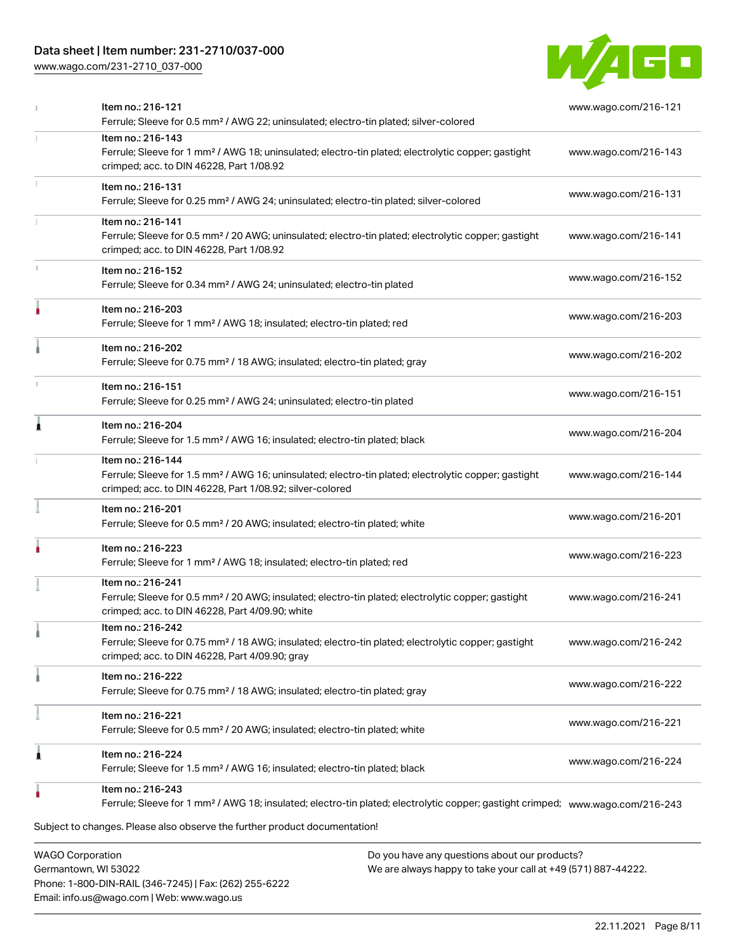## Data sheet | Item number: 231-2710/037-000

[www.wago.com/231-2710\\_037-000](http://www.wago.com/231-2710_037-000)



| Item no.: 216-121<br>Ferrule; Sleeve for 0.5 mm <sup>2</sup> / AWG 22; uninsulated; electro-tin plated; silver-colored                                                                            | www.wago.com/216-121 |
|---------------------------------------------------------------------------------------------------------------------------------------------------------------------------------------------------|----------------------|
| Item no.: 216-143<br>Ferrule; Sleeve for 1 mm <sup>2</sup> / AWG 18; uninsulated; electro-tin plated; electrolytic copper; gastight<br>crimped; acc. to DIN 46228, Part 1/08.92                   | www.wago.com/216-143 |
| Item no.: 216-131<br>Ferrule; Sleeve for 0.25 mm <sup>2</sup> / AWG 24; uninsulated; electro-tin plated; silver-colored                                                                           | www.wago.com/216-131 |
| Item no.: 216-141<br>Ferrule; Sleeve for 0.5 mm <sup>2</sup> / 20 AWG; uninsulated; electro-tin plated; electrolytic copper; gastight<br>crimped; acc. to DIN 46228, Part 1/08.92                 | www.wago.com/216-141 |
| Item no.: 216-152<br>Ferrule; Sleeve for 0.34 mm <sup>2</sup> / AWG 24; uninsulated; electro-tin plated                                                                                           | www.wago.com/216-152 |
| Item no.: 216-203<br>Ferrule; Sleeve for 1 mm <sup>2</sup> / AWG 18; insulated; electro-tin plated; red                                                                                           | www.wago.com/216-203 |
| Item no.: 216-202<br>Ferrule; Sleeve for 0.75 mm <sup>2</sup> / 18 AWG; insulated; electro-tin plated; gray                                                                                       | www.wago.com/216-202 |
| Item no.: 216-151<br>Ferrule; Sleeve for 0.25 mm <sup>2</sup> / AWG 24; uninsulated; electro-tin plated                                                                                           | www.wago.com/216-151 |
| Item no.: 216-204<br>Ferrule; Sleeve for 1.5 mm <sup>2</sup> / AWG 16; insulated; electro-tin plated; black                                                                                       | www.wago.com/216-204 |
| Item no.: 216-144<br>Ferrule; Sleeve for 1.5 mm <sup>2</sup> / AWG 16; uninsulated; electro-tin plated; electrolytic copper; gastight<br>crimped; acc. to DIN 46228, Part 1/08.92; silver-colored | www.wago.com/216-144 |
| Item no.: 216-201<br>Ferrule; Sleeve for 0.5 mm <sup>2</sup> / 20 AWG; insulated; electro-tin plated; white                                                                                       | www.wago.com/216-201 |
| Item no.: 216-223<br>Ferrule; Sleeve for 1 mm <sup>2</sup> / AWG 18; insulated; electro-tin plated; red                                                                                           | www.wago.com/216-223 |
| Item no.: 216-241<br>Ferrule; Sleeve for 0.5 mm <sup>2</sup> / 20 AWG; insulated; electro-tin plated; electrolytic copper; gastight<br>crimped; acc. to DIN 46228, Part 4/09.90; white            | www.wago.com/216-241 |
| Item no.: 216-242<br>Ferrule; Sleeve for 0.75 mm <sup>2</sup> / 18 AWG; insulated; electro-tin plated; electrolytic copper; gastight<br>crimped; acc. to DIN 46228, Part 4/09.90; gray            | www.wago.com/216-242 |
| Item no.: 216-222<br>Ferrule; Sleeve for 0.75 mm <sup>2</sup> / 18 AWG; insulated; electro-tin plated; gray                                                                                       | www.wago.com/216-222 |
| Item no.: 216-221<br>Ferrule; Sleeve for 0.5 mm <sup>2</sup> / 20 AWG; insulated; electro-tin plated; white                                                                                       | www.wago.com/216-221 |
| Item no.: 216-224<br>Ferrule; Sleeve for 1.5 mm <sup>2</sup> / AWG 16; insulated; electro-tin plated; black                                                                                       | www.wago.com/216-224 |
| Item no.: 216-243<br>Ferrule; Sleeve for 1 mm <sup>2</sup> / AWG 18; insulated; electro-tin plated; electrolytic copper; gastight crimped; www.waqo.com/216-243                                   |                      |
| Subject to changes. Please also observe the further product documentation!                                                                                                                        |                      |
| <b>WAGO Corporation</b><br>Do you have any questions about our products?                                                                                                                          |                      |

Germantown, WI 53022 Phone: 1-800-DIN-RAIL (346-7245) | Fax: (262) 255-6222 Email: info.us@wago.com | Web: www.wago.us

have any questions about o<mark>l</mark> We are always happy to take your call at +49 (571) 887-44222.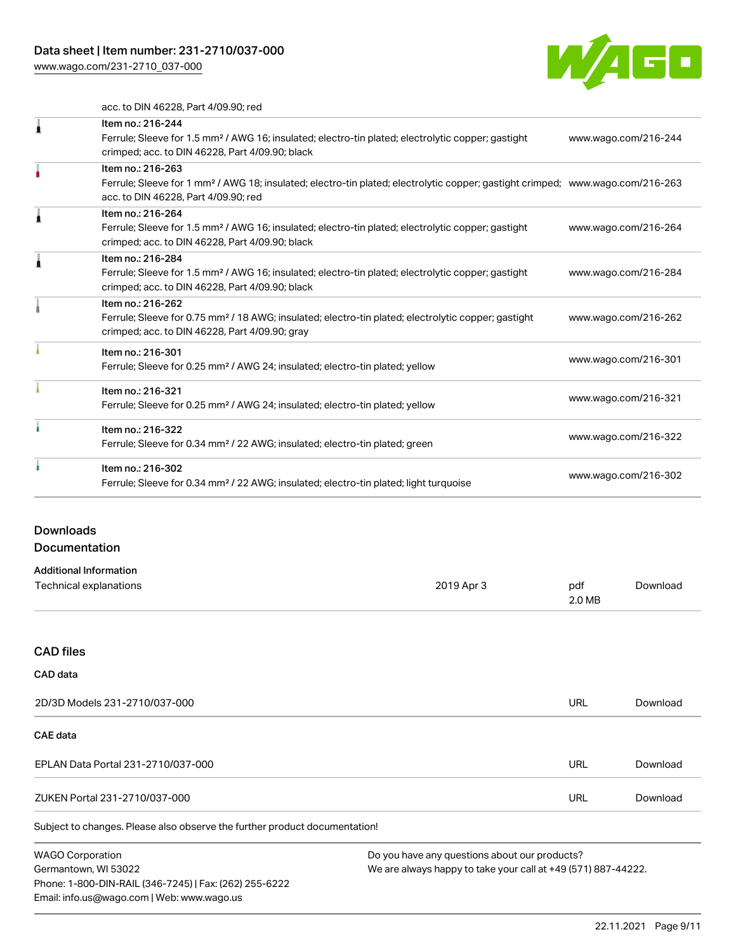[www.wago.com/231-2710\\_037-000](http://www.wago.com/231-2710_037-000)



acc. to DIN 46228, Part 4/09.90; red

| Item no.: 216-244                                                                                                                          |                      |
|--------------------------------------------------------------------------------------------------------------------------------------------|----------------------|
| Ferrule; Sleeve for 1.5 mm <sup>2</sup> / AWG 16; insulated; electro-tin plated; electrolytic copper; gastight                             | www.wago.com/216-244 |
| crimped; acc. to DIN 46228, Part 4/09.90; black                                                                                            |                      |
| Item no.: 216-263                                                                                                                          |                      |
| Ferrule; Sleeve for 1 mm <sup>2</sup> / AWG 18; insulated; electro-tin plated; electrolytic copper; gastight crimped; www.wago.com/216-263 |                      |
| acc. to DIN 46228, Part 4/09.90; red                                                                                                       |                      |
| Item no.: 216-264                                                                                                                          |                      |
| Ferrule; Sleeve for 1.5 mm <sup>2</sup> / AWG 16; insulated; electro-tin plated; electrolytic copper; gastight                             | www.wago.com/216-264 |
| crimped; acc. to DIN 46228, Part 4/09.90; black                                                                                            |                      |
| Item no.: 216-284                                                                                                                          |                      |
| Ferrule; Sleeve for 1.5 mm <sup>2</sup> / AWG 16; insulated; electro-tin plated; electrolytic copper; gastight                             | www.wago.com/216-284 |
| crimped; acc. to DIN 46228, Part 4/09.90; black                                                                                            |                      |
| Item no.: 216-262                                                                                                                          |                      |
| Ferrule; Sleeve for 0.75 mm <sup>2</sup> / 18 AWG; insulated; electro-tin plated; electrolytic copper; gastight                            | www.wago.com/216-262 |
| crimped; acc. to DIN 46228, Part 4/09.90; gray                                                                                             |                      |
| Item no.: 216-301                                                                                                                          |                      |
| Ferrule; Sleeve for 0.25 mm <sup>2</sup> / AWG 24; insulated; electro-tin plated; yellow                                                   | www.wago.com/216-301 |
| Item no.: 216-321                                                                                                                          |                      |
| Ferrule; Sleeve for 0.25 mm <sup>2</sup> / AWG 24; insulated; electro-tin plated; yellow                                                   | www.wago.com/216-321 |
| Item no.: 216-322                                                                                                                          |                      |
| Ferrule; Sleeve for 0.34 mm <sup>2</sup> / 22 AWG; insulated; electro-tin plated; green                                                    | www.wago.com/216-322 |
| Item no.: 216-302                                                                                                                          |                      |
| Ferrule; Sleeve for 0.34 mm <sup>2</sup> / 22 AWG; insulated; electro-tin plated; light turquoise                                          | www.wago.com/216-302 |
|                                                                                                                                            |                      |

# Downloads

## Documentation

| <b>Additional Information</b> |            |        |          |
|-------------------------------|------------|--------|----------|
| Technical explanations        | 2019 Apr 3 | pdf    | Download |
|                               |            | 2.0 MB |          |

### CAD files

# Subject to changes. Please also observe the further product documentation! CAD data 2D/3D Models 231-2710/037-000 URL [Download](https://www.wago.com/global/d/3D_URLS_231-2710_037-000) CAE data EPLAN Data Portal 231-2710/037-000 URL [Download](https://www.wago.com/global/d/EPLAN_URLS_231-2710%252F037-000) ZUKEN Portal 231-2710/037-000 URL [Download](https://www.wago.com/global/d/Zuken_URLS_231-2710_037-000)

WAGO Corporation Germantown, WI 53022 Phone: 1-800-DIN-RAIL (346-7245) | Fax: (262) 255-6222 Email: info.us@wago.com | Web: www.wago.us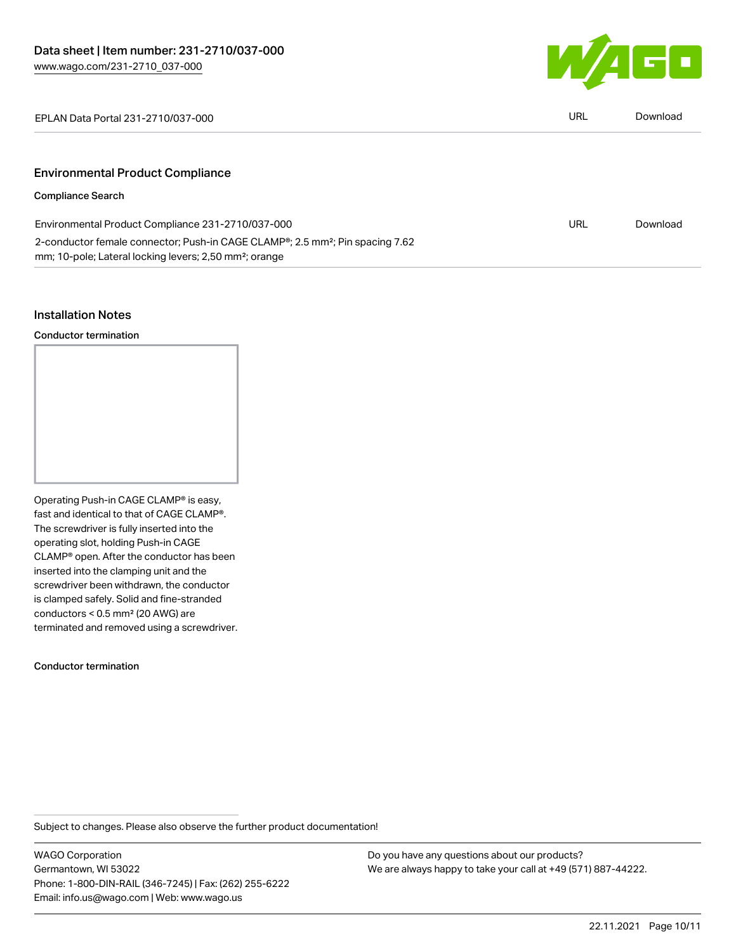

EPLAN Data Portal 231-2710/037-000 URL [Download](https://www.wago.com/global/d/EPLAN_URLS_231-2710_037-000)

## Environmental Product Compliance

## Compliance Search

| Environmental Product Compliance 231-2710/037-000                                                      | URL | Download |
|--------------------------------------------------------------------------------------------------------|-----|----------|
| 2-conductor female connector; Push-in CAGE CLAMP <sup>®</sup> ; 2.5 mm <sup>2</sup> ; Pin spacing 7.62 |     |          |
| mm; 10-pole; Lateral locking levers; 2,50 mm <sup>2</sup> ; orange                                     |     |          |

#### Installation Notes

Conductor termination

Operating Push-in CAGE CLAMP® is easy, fast and identical to that of CAGE CLAMP®. The screwdriver is fully inserted into the operating slot, holding Push-in CAGE CLAMP® open. After the conductor has been inserted into the clamping unit and the screwdriver been withdrawn, the conductor is clamped safely. Solid and fine-stranded conductors < 0.5 mm² (20 AWG) are terminated and removed using a screwdriver.

#### Conductor termination

Subject to changes. Please also observe the further product documentation!

WAGO Corporation Germantown, WI 53022 Phone: 1-800-DIN-RAIL (346-7245) | Fax: (262) 255-6222 Email: info.us@wago.com | Web: www.wago.us